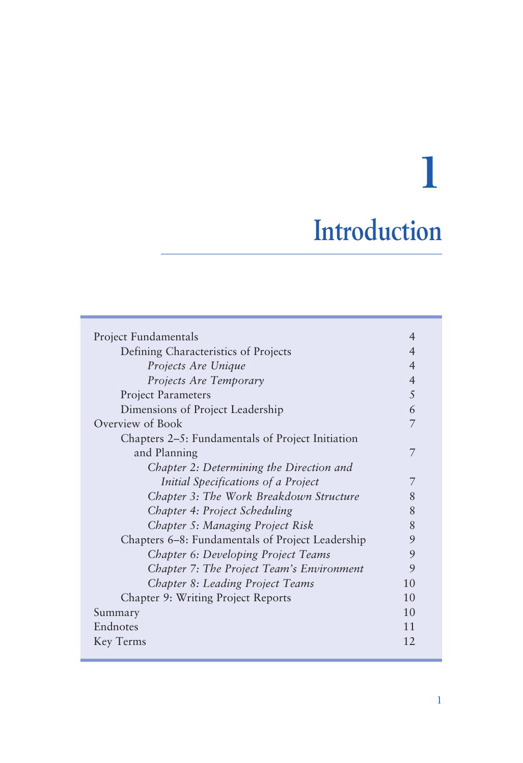# **1 Introduction**

| Project Fundamentals                             | 4              |
|--------------------------------------------------|----------------|
| Defining Characteristics of Projects             |                |
| Projects Are Unique                              | 4              |
| Projects Are Temporary                           | 4              |
| <b>Project Parameters</b>                        | 5              |
| Dimensions of Project Leadership                 | 6              |
| Overview of Book                                 | 7              |
| Chapters 2–5: Fundamentals of Project Initiation |                |
| and Planning                                     | 7              |
| Chapter 2: Determining the Direction and         |                |
| Initial Specifications of a Project              |                |
| Chapter 3: The Work Breakdown Structure          | 8              |
| Chapter 4: Project Scheduling                    | 8              |
| Chapter 5: Managing Project Risk                 | 8              |
| Chapters 6-8: Fundamentals of Project Leadership | 9              |
| Chapter 6: Developing Project Teams              | 9              |
| Chapter 7: The Project Team's Environment        | 9              |
| Chapter 8: Leading Project Teams                 | 10             |
| Chapter 9: Writing Project Reports               | 10             |
| Summary                                          | 1 <sub>0</sub> |
| Endnotes                                         | 11             |
| Key Terms                                        | 12             |
|                                                  |                |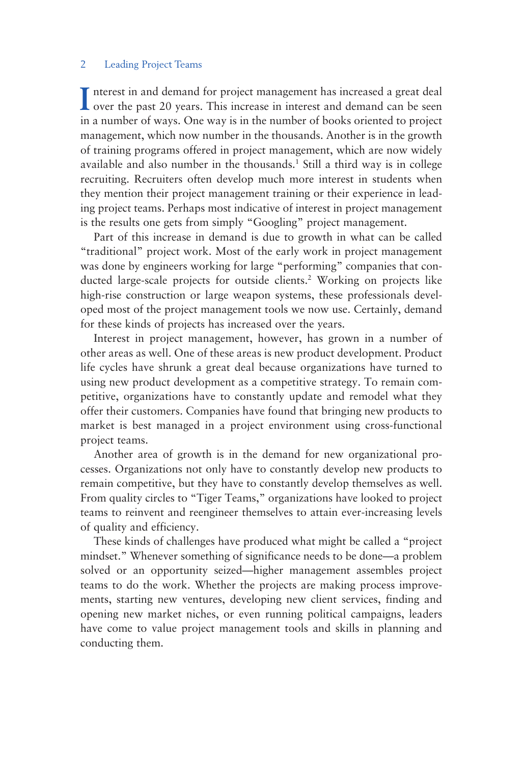I nterest in and demand for project management has increased a great deal<br>over the past 20 years. This increase in interest and demand can be seen I nterest in and demand for project management has increased a great deal in a number of ways. One way is in the number of books oriented to project management, which now number in the thousands. Another is in the growth of training programs offered in project management, which are now widely available and also number in the thousands.<sup>1</sup> Still a third way is in college recruiting. Recruiters often develop much more interest in students when they mention their project management training or their experience in leading project teams. Perhaps most indicative of interest in project management is the results one gets from simply "Googling" project management.

Part of this increase in demand is due to growth in what can be called "traditional" project work. Most of the early work in project management was done by engineers working for large "performing" companies that conducted large-scale projects for outside clients.<sup>2</sup> Working on projects like high-rise construction or large weapon systems, these professionals developed most of the project management tools we now use. Certainly, demand for these kinds of projects has increased over the years.

Interest in project management, however, has grown in a number of other areas as well. One of these areas is new product development. Product life cycles have shrunk a great deal because organizations have turned to using new product development as a competitive strategy. To remain competitive, organizations have to constantly update and remodel what they offer their customers. Companies have found that bringing new products to market is best managed in a project environment using cross-functional project teams.

Another area of growth is in the demand for new organizational processes. Organizations not only have to constantly develop new products to remain competitive, but they have to constantly develop themselves as well. From quality circles to "Tiger Teams," organizations have looked to project teams to reinvent and reengineer themselves to attain ever-increasing levels of quality and efficiency.

These kinds of challenges have produced what might be called a "project mindset." Whenever something of significance needs to be done—a problem solved or an opportunity seized—higher management assembles project teams to do the work. Whether the projects are making process improvements, starting new ventures, developing new client services, finding and opening new market niches, or even running political campaigns, leaders have come to value project management tools and skills in planning and conducting them.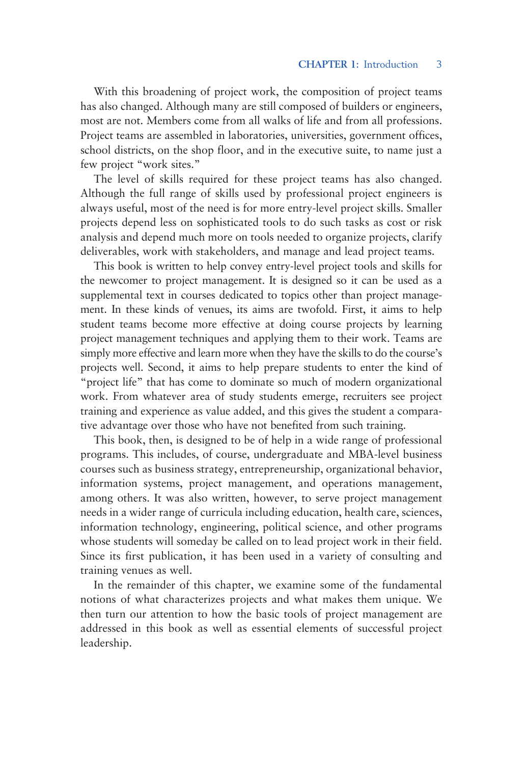With this broadening of project work, the composition of project teams has also changed. Although many are still composed of builders or engineers, most are not. Members come from all walks of life and from all professions. Project teams are assembled in laboratories, universities, government offices, school districts, on the shop floor, and in the executive suite, to name just a few project "work sites."

The level of skills required for these project teams has also changed. Although the full range of skills used by professional project engineers is always useful, most of the need is for more entry-level project skills. Smaller projects depend less on sophisticated tools to do such tasks as cost or risk analysis and depend much more on tools needed to organize projects, clarify deliverables, work with stakeholders, and manage and lead project teams.

This book is written to help convey entry-level project tools and skills for the newcomer to project management. It is designed so it can be used as a supplemental text in courses dedicated to topics other than project management. In these kinds of venues, its aims are twofold. First, it aims to help student teams become more effective at doing course projects by learning project management techniques and applying them to their work. Teams are simply more effective and learn more when they have the skills to do the course's projects well. Second, it aims to help prepare students to enter the kind of "project life" that has come to dominate so much of modern organizational work. From whatever area of study students emerge, recruiters see project training and experience as value added, and this gives the student a comparative advantage over those who have not benefited from such training.

This book, then, is designed to be of help in a wide range of professional programs. This includes, of course, undergraduate and MBA-level business courses such as business strategy, entrepreneurship, organizational behavior, information systems, project management, and operations management, among others. It was also written, however, to serve project management needs in a wider range of curricula including education, health care, sciences, information technology, engineering, political science, and other programs whose students will someday be called on to lead project work in their field. Since its first publication, it has been used in a variety of consulting and training venues as well.

In the remainder of this chapter, we examine some of the fundamental notions of what characterizes projects and what makes them unique. We then turn our attention to how the basic tools of project management are addressed in this book as well as essential elements of successful project leadership.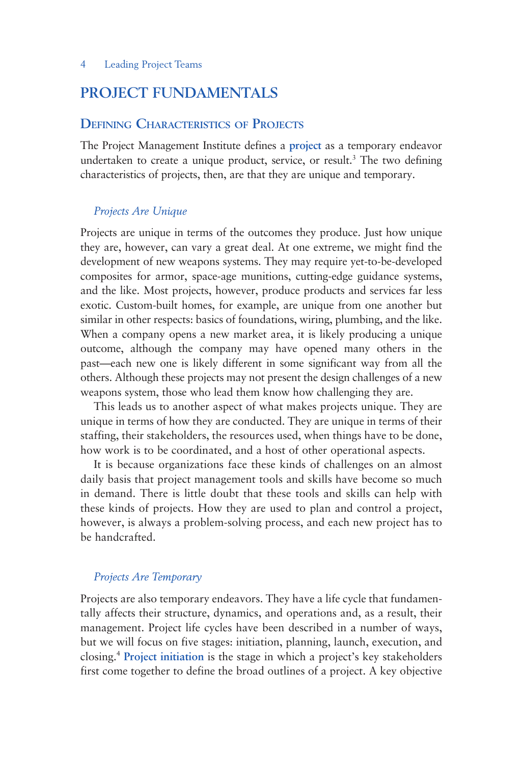# **PROJECT FUNDAMENTALS**

## **Defining Characteristics of Projects**

The Project Management Institute defines a **project** as a temporary endeavor undertaken to create a unique product, service, or result.<sup>3</sup> The two defining characteristics of projects, then, are that they are unique and temporary.

#### *Projects Are Unique*

Projects are unique in terms of the outcomes they produce. Just how unique they are, however, can vary a great deal. At one extreme, we might find the development of new weapons systems. They may require yet-to-be-developed composites for armor, space-age munitions, cutting-edge guidance systems, and the like. Most projects, however, produce products and services far less exotic. Custom-built homes, for example, are unique from one another but similar in other respects: basics of foundations, wiring, plumbing, and the like. When a company opens a new market area, it is likely producing a unique outcome, although the company may have opened many others in the past—each new one is likely different in some significant way from all the others. Although these projects may not present the design challenges of a new weapons system, those who lead them know how challenging they are.

This leads us to another aspect of what makes projects unique. They are unique in terms of how they are conducted. They are unique in terms of their staffing, their stakeholders, the resources used, when things have to be done, how work is to be coordinated, and a host of other operational aspects.

It is because organizations face these kinds of challenges on an almost daily basis that project management tools and skills have become so much in demand. There is little doubt that these tools and skills can help with these kinds of projects. How they are used to plan and control a project, however, is always a problem-solving process, and each new project has to be handcrafted.

#### *Projects Are Temporary*

Projects are also temporary endeavors. They have a life cycle that fundamentally affects their structure, dynamics, and operations and, as a result, their management. Project life cycles have been described in a number of ways, but we will focus on five stages: initiation, planning, launch, execution, and closing.4 **Project initiation** is the stage in which a project's key stakeholders first come together to define the broad outlines of a project. A key objective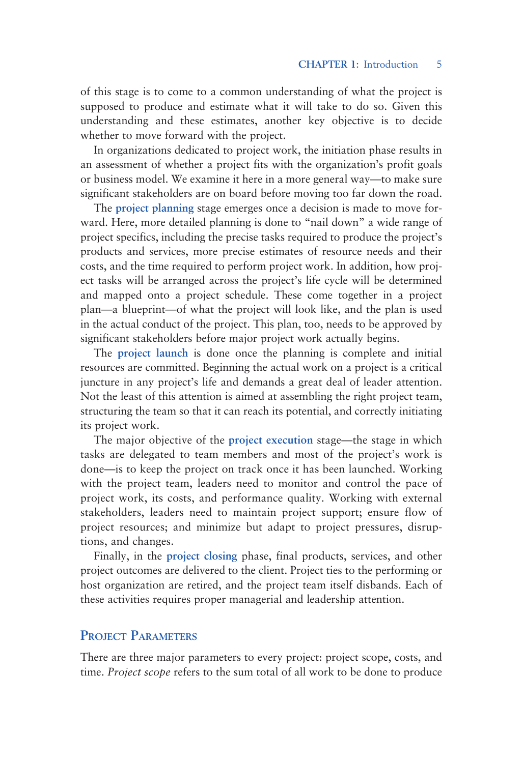of this stage is to come to a common understanding of what the project is supposed to produce and estimate what it will take to do so. Given this understanding and these estimates, another key objective is to decide whether to move forward with the project.

In organizations dedicated to project work, the initiation phase results in an assessment of whether a project fits with the organization's profit goals or business model. We examine it here in a more general way—to make sure significant stakeholders are on board before moving too far down the road.

The **project planning** stage emerges once a decision is made to move forward. Here, more detailed planning is done to "nail down" a wide range of project specifics, including the precise tasks required to produce the project's products and services, more precise estimates of resource needs and their costs, and the time required to perform project work. In addition, how project tasks will be arranged across the project's life cycle will be determined and mapped onto a project schedule. These come together in a project plan—a blueprint—of what the project will look like, and the plan is used in the actual conduct of the project. This plan, too, needs to be approved by significant stakeholders before major project work actually begins.

The **project launch** is done once the planning is complete and initial resources are committed. Beginning the actual work on a project is a critical juncture in any project's life and demands a great deal of leader attention. Not the least of this attention is aimed at assembling the right project team, structuring the team so that it can reach its potential, and correctly initiating its project work.

The major objective of the **project execution** stage—the stage in which tasks are delegated to team members and most of the project's work is done—is to keep the project on track once it has been launched. Working with the project team, leaders need to monitor and control the pace of project work, its costs, and performance quality. Working with external stakeholders, leaders need to maintain project support; ensure flow of project resources; and minimize but adapt to project pressures, disruptions, and changes.

Finally, in the **project closing** phase, final products, services, and other project outcomes are delivered to the client. Project ties to the performing or host organization are retired, and the project team itself disbands. Each of these activities requires proper managerial and leadership attention.

## **Project Parameters**

There are three major parameters to every project: project scope, costs, and time. *Project scope* refers to the sum total of all work to be done to produce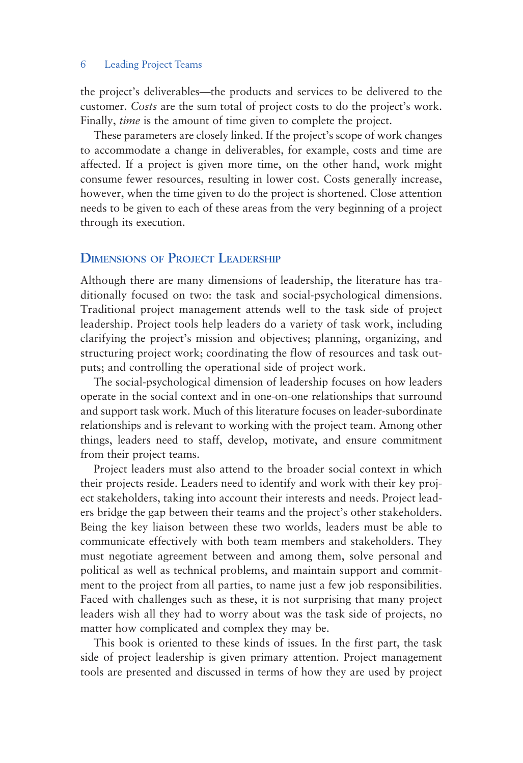the project's deliverables—the products and services to be delivered to the customer. *Costs* are the sum total of project costs to do the project's work. Finally, *time* is the amount of time given to complete the project.

These parameters are closely linked. If the project's scope of work changes to accommodate a change in deliverables, for example, costs and time are affected. If a project is given more time, on the other hand, work might consume fewer resources, resulting in lower cost. Costs generally increase, however, when the time given to do the project is shortened. Close attention needs to be given to each of these areas from the very beginning of a project through its execution.

### **Dimensions of Project Leadership**

Although there are many dimensions of leadership, the literature has traditionally focused on two: the task and social-psychological dimensions. Traditional project management attends well to the task side of project leadership. Project tools help leaders do a variety of task work, including clarifying the project's mission and objectives; planning, organizing, and structuring project work; coordinating the flow of resources and task outputs; and controlling the operational side of project work.

The social-psychological dimension of leadership focuses on how leaders operate in the social context and in one-on-one relationships that surround and support task work. Much of this literature focuses on leader-subordinate relationships and is relevant to working with the project team. Among other things, leaders need to staff, develop, motivate, and ensure commitment from their project teams.

Project leaders must also attend to the broader social context in which their projects reside. Leaders need to identify and work with their key project stakeholders, taking into account their interests and needs. Project leaders bridge the gap between their teams and the project's other stakeholders. Being the key liaison between these two worlds, leaders must be able to communicate effectively with both team members and stakeholders. They must negotiate agreement between and among them, solve personal and political as well as technical problems, and maintain support and commitment to the project from all parties, to name just a few job responsibilities. Faced with challenges such as these, it is not surprising that many project leaders wish all they had to worry about was the task side of projects, no matter how complicated and complex they may be.

This book is oriented to these kinds of issues. In the first part, the task side of project leadership is given primary attention. Project management tools are presented and discussed in terms of how they are used by project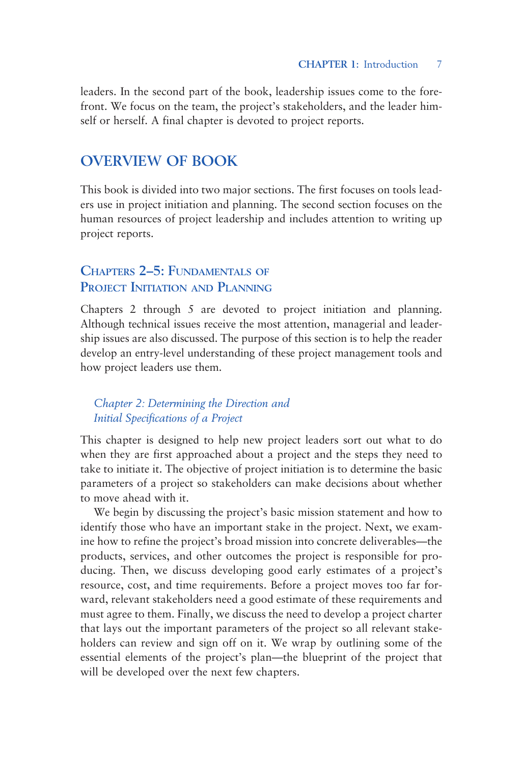leaders. In the second part of the book, leadership issues come to the forefront. We focus on the team, the project's stakeholders, and the leader himself or herself. A final chapter is devoted to project reports.

# **OVERVIEW OF BOOK**

This book is divided into two major sections. The first focuses on tools leaders use in project initiation and planning. The second section focuses on the human resources of project leadership and includes attention to writing up project reports.

# **Chapters 2–5: Fundamentals of Project Initiation and Planning**

Chapters 2 through 5 are devoted to project initiation and planning. Although technical issues receive the most attention, managerial and leadership issues are also discussed. The purpose of this section is to help the reader develop an entry-level understanding of these project management tools and how project leaders use them.

### *Chapter 2: Determining the Direction and Initial Specifications of a Project*

This chapter is designed to help new project leaders sort out what to do when they are first approached about a project and the steps they need to take to initiate it. The objective of project initiation is to determine the basic parameters of a project so stakeholders can make decisions about whether to move ahead with it.

We begin by discussing the project's basic mission statement and how to identify those who have an important stake in the project. Next, we examine how to refine the project's broad mission into concrete deliverables—the products, services, and other outcomes the project is responsible for producing. Then, we discuss developing good early estimates of a project's resource, cost, and time requirements. Before a project moves too far forward, relevant stakeholders need a good estimate of these requirements and must agree to them. Finally, we discuss the need to develop a project charter that lays out the important parameters of the project so all relevant stakeholders can review and sign off on it. We wrap by outlining some of the essential elements of the project's plan—the blueprint of the project that will be developed over the next few chapters.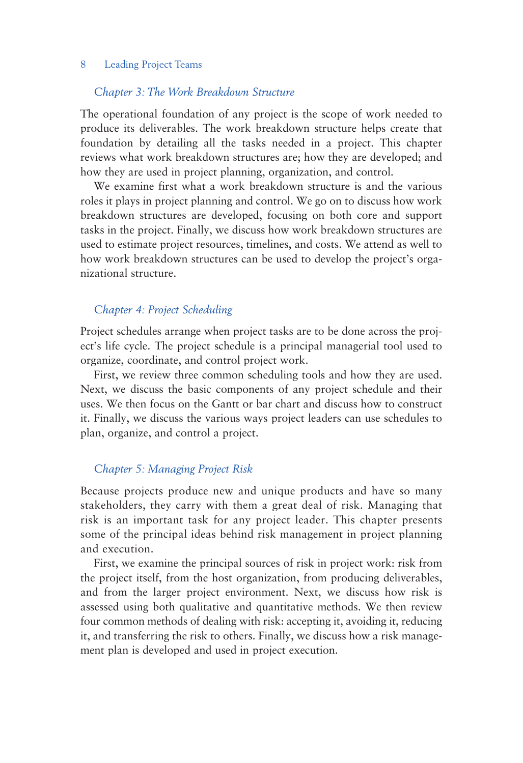#### *Chapter 3: The Work Breakdown Structure*

The operational foundation of any project is the scope of work needed to produce its deliverables. The work breakdown structure helps create that foundation by detailing all the tasks needed in a project. This chapter reviews what work breakdown structures are; how they are developed; and how they are used in project planning, organization, and control.

We examine first what a work breakdown structure is and the various roles it plays in project planning and control. We go on to discuss how work breakdown structures are developed, focusing on both core and support tasks in the project. Finally, we discuss how work breakdown structures are used to estimate project resources, timelines, and costs. We attend as well to how work breakdown structures can be used to develop the project's organizational structure.

#### *Chapter 4: Project Scheduling*

Project schedules arrange when project tasks are to be done across the project's life cycle. The project schedule is a principal managerial tool used to organize, coordinate, and control project work.

First, we review three common scheduling tools and how they are used. Next, we discuss the basic components of any project schedule and their uses. We then focus on the Gantt or bar chart and discuss how to construct it. Finally, we discuss the various ways project leaders can use schedules to plan, organize, and control a project.

#### *Chapter 5: Managing Project Risk*

Because projects produce new and unique products and have so many stakeholders, they carry with them a great deal of risk. Managing that risk is an important task for any project leader. This chapter presents some of the principal ideas behind risk management in project planning and execution.

First, we examine the principal sources of risk in project work: risk from the project itself, from the host organization, from producing deliverables, and from the larger project environment. Next, we discuss how risk is assessed using both qualitative and quantitative methods. We then review four common methods of dealing with risk: accepting it, avoiding it, reducing it, and transferring the risk to others. Finally, we discuss how a risk management plan is developed and used in project execution.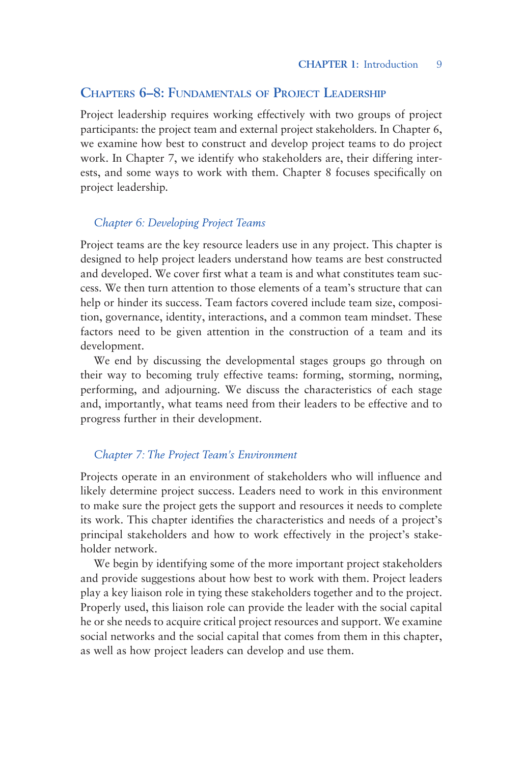## **Chapters 6–8: Fundamentals of Project Leadership**

Project leadership requires working effectively with two groups of project participants: the project team and external project stakeholders. In Chapter 6, we examine how best to construct and develop project teams to do project work. In Chapter 7, we identify who stakeholders are, their differing interests, and some ways to work with them. Chapter 8 focuses specifically on project leadership*.*

#### *Chapter 6: Developing Project Teams*

Project teams are the key resource leaders use in any project. This chapter is designed to help project leaders understand how teams are best constructed and developed. We cover first what a team is and what constitutes team success. We then turn attention to those elements of a team's structure that can help or hinder its success. Team factors covered include team size, composition, governance, identity, interactions, and a common team mindset. These factors need to be given attention in the construction of a team and its development.

We end by discussing the developmental stages groups go through on their way to becoming truly effective teams: forming, storming, norming, performing, and adjourning. We discuss the characteristics of each stage and, importantly, what teams need from their leaders to be effective and to progress further in their development.

#### *Chapter 7: The Project Team's Environment*

Projects operate in an environment of stakeholders who will influence and likely determine project success. Leaders need to work in this environment to make sure the project gets the support and resources it needs to complete its work. This chapter identifies the characteristics and needs of a project's principal stakeholders and how to work effectively in the project's stakeholder network.

We begin by identifying some of the more important project stakeholders and provide suggestions about how best to work with them. Project leaders play a key liaison role in tying these stakeholders together and to the project. Properly used, this liaison role can provide the leader with the social capital he or she needs to acquire critical project resources and support. We examine social networks and the social capital that comes from them in this chapter, as well as how project leaders can develop and use them.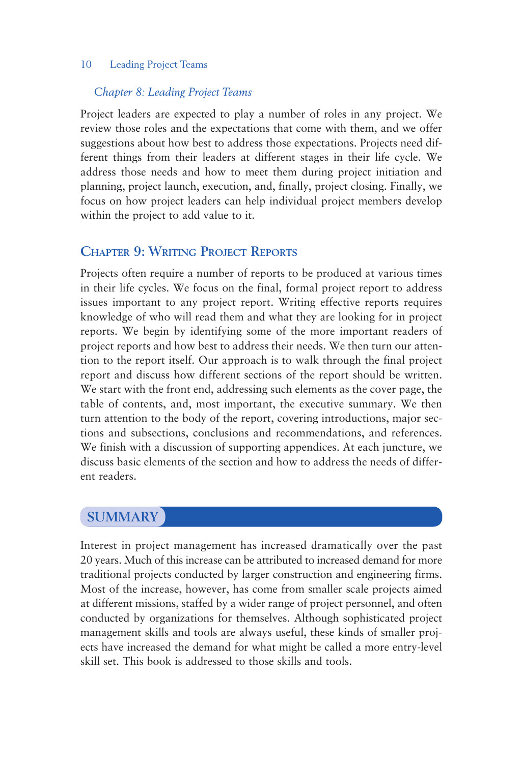#### *Chapter 8: Leading Project Teams*

Project leaders are expected to play a number of roles in any project. We review those roles and the expectations that come with them, and we offer suggestions about how best to address those expectations. Projects need different things from their leaders at different stages in their life cycle. We address those needs and how to meet them during project initiation and planning, project launch, execution, and, finally, project closing. Finally, we focus on how project leaders can help individual project members develop within the project to add value to it.

## **Chapter 9: Writing Project Reports**

Projects often require a number of reports to be produced at various times in their life cycles. We focus on the final, formal project report to address issues important to any project report. Writing effective reports requires knowledge of who will read them and what they are looking for in project reports. We begin by identifying some of the more important readers of project reports and how best to address their needs. We then turn our attention to the report itself. Our approach is to walk through the final project report and discuss how different sections of the report should be written. We start with the front end, addressing such elements as the cover page, the table of contents, and, most important, the executive summary. We then turn attention to the body of the report, covering introductions, major sections and subsections, conclusions and recommendations, and references. We finish with a discussion of supporting appendices. At each juncture, we discuss basic elements of the section and how to address the needs of different readers.

# **SUMMARY**

Interest in project management has increased dramatically over the past 20 years. Much of this increase can be attributed to increased demand for more traditional projects conducted by larger construction and engineering firms. Most of the increase, however, has come from smaller scale projects aimed at different missions, staffed by a wider range of project personnel, and often conducted by organizations for themselves. Although sophisticated project management skills and tools are always useful, these kinds of smaller projects have increased the demand for what might be called a more entry-level skill set. This book is addressed to those skills and tools.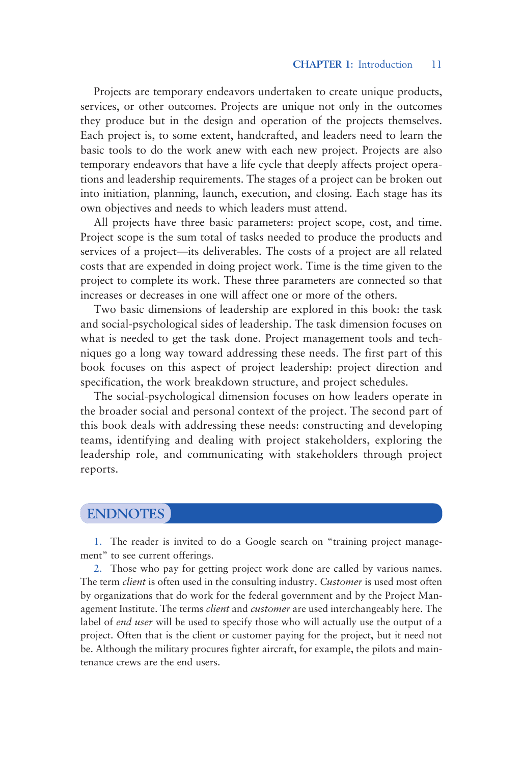Projects are temporary endeavors undertaken to create unique products, services, or other outcomes. Projects are unique not only in the outcomes they produce but in the design and operation of the projects themselves. Each project is, to some extent, handcrafted, and leaders need to learn the basic tools to do the work anew with each new project. Projects are also temporary endeavors that have a life cycle that deeply affects project operations and leadership requirements. The stages of a project can be broken out into initiation, planning, launch, execution, and closing. Each stage has its own objectives and needs to which leaders must attend.

All projects have three basic parameters: project scope, cost, and time. Project scope is the sum total of tasks needed to produce the products and services of a project—its deliverables. The costs of a project are all related costs that are expended in doing project work. Time is the time given to the project to complete its work. These three parameters are connected so that increases or decreases in one will affect one or more of the others.

Two basic dimensions of leadership are explored in this book: the task and social-psychological sides of leadership. The task dimension focuses on what is needed to get the task done. Project management tools and techniques go a long way toward addressing these needs. The first part of this book focuses on this aspect of project leadership: project direction and specification, the work breakdown structure, and project schedules.

The social-psychological dimension focuses on how leaders operate in the broader social and personal context of the project. The second part of this book deals with addressing these needs: constructing and developing teams, identifying and dealing with project stakeholders, exploring the leadership role, and communicating with stakeholders through project reports.

## **ENDNOTES**

1. The reader is invited to do a Google search on "training project management" to see current offerings.

2. Those who pay for getting project work done are called by various names. The term *client* is often used in the consulting industry. *Customer* is used most often by organizations that do work for the federal government and by the Project Management Institute. The terms *client* and *customer* are used interchangeably here. The label of *end user* will be used to specify those who will actually use the output of a project. Often that is the client or customer paying for the project, but it need not be. Although the military procures fighter aircraft, for example, the pilots and maintenance crews are the end users.